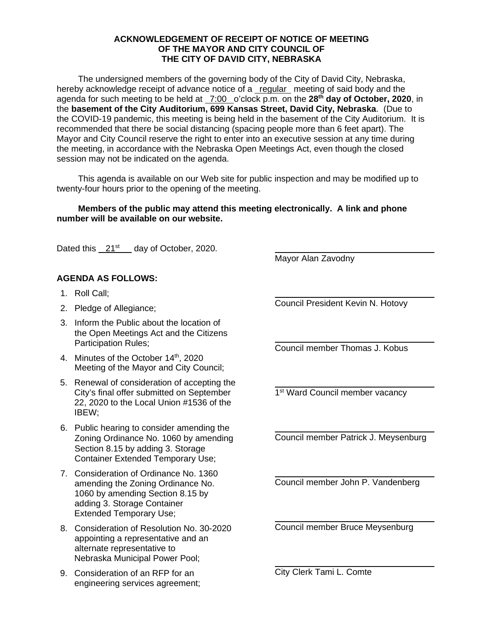## **ACKNOWLEDGEMENT OF RECEIPT OF NOTICE OF MEETING OF THE MAYOR AND CITY COUNCIL OF THE CITY OF DAVID CITY, NEBRASKA**

The undersigned members of the governing body of the City of David City, Nebraska, hereby acknowledge receipt of advance notice of a regular meeting of said body and the agenda for such meeting to be held at 7:00 o'clock p.m. on the **28th day of October, 2020**, in the **basement of the City Auditorium, 699 Kansas Street, David City, Nebraska**. (Due to the COVID-19 pandemic, this meeting is being held in the basement of the City Auditorium. It is recommended that there be social distancing (spacing people more than 6 feet apart). The Mayor and City Council reserve the right to enter into an executive session at any time during the meeting, in accordance with the Nebraska Open Meetings Act, even though the closed session may not be indicated on the agenda.

This agenda is available on our Web site for public inspection and may be modified up to twenty-four hours prior to the opening of the meeting.

## **Members of the public may attend this meeting electronically. A link and phone number will be available on our website.**

 $\overline{a}$ 

 $\overline{a}$ 

 $\overline{a}$ 

 $\overline{a}$ 

Dated this 21<sup>st</sup> day of October, 2020.

## **AGENDA AS FOLLOWS:**

- 1. Roll Call;
- 2. Pledge of Allegiance;
- 3. Inform the Public about the location of the Open Meetings Act and the Citizens Participation Rules;
- 4. Minutes of the October 14<sup>th</sup>, 2020 Meeting of the Mayor and City Council;
- 5. Renewal of consideration of accepting the City's final offer submitted on September 22, 2020 to the Local Union #1536 of the IBEW;
- 6. Public hearing to consider amending the Zoning Ordinance No. 1060 by amending Section 8.15 by adding 3. Storage Container Extended Temporary Use;
- 7. Consideration of Ordinance No. 1360 amending the Zoning Ordinance No. 1060 by amending Section 8.15 by adding 3. Storage Container Extended Temporary Use;
- 8. Consideration of Resolution No. 30-2020 appointing a representative and an alternate representative to Nebraska Municipal Power Pool;
- 9. Consideration of an RFP for an engineering services agreement;

 $\overline{a}$ Council President Kevin N. Hotovy

Mayor Alan Zavodny

 $\overline{a}$ Council member Thomas J. Kobus

1<sup>st</sup> Ward Council member vacancy

 $\overline{a}$ Council member Patrick J. Meysenburg

 $\overline{a}$ Council member John P. Vandenberg

Council member Bruce Meysenburg

City Clerk Tami L. Comte